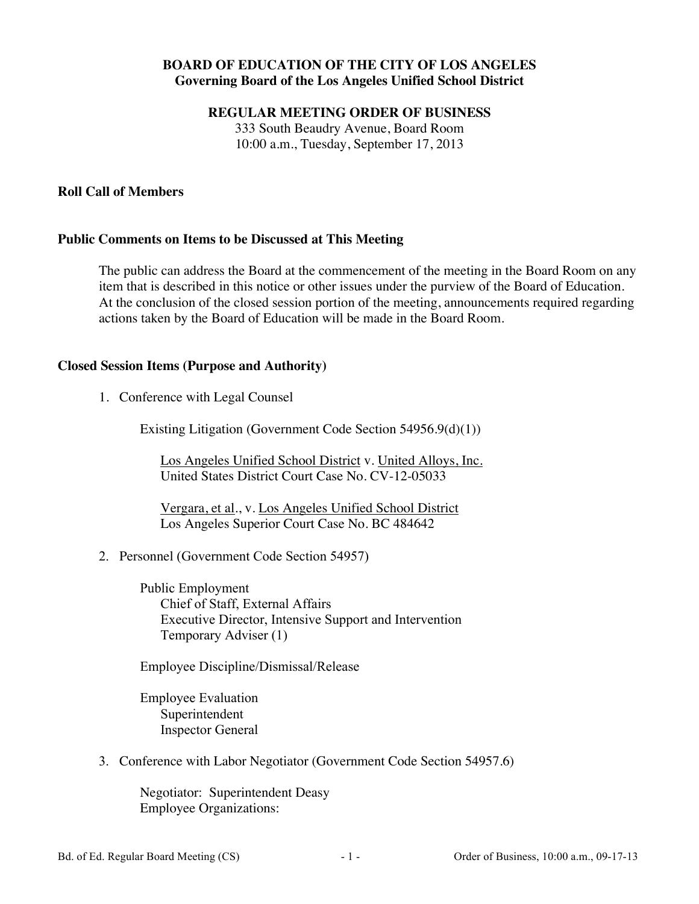# **BOARD OF EDUCATION OF THE CITY OF LOS ANGELES Governing Board of the Los Angeles Unified School District**

**REGULAR MEETING ORDER OF BUSINESS** 

333 South Beaudry Avenue, Board Room 10:00 a.m., Tuesday, September 17, 2013

## **Roll Call of Members**

### **Public Comments on Items to be Discussed at This Meeting**

The public can address the Board at the commencement of the meeting in the Board Room on any item that is described in this notice or other issues under the purview of the Board of Education. At the conclusion of the closed session portion of the meeting, announcements required regarding actions taken by the Board of Education will be made in the Board Room.

## **Closed Session Items (Purpose and Authority)**

1. Conference with Legal Counsel

Existing Litigation (Government Code Section 54956.9(d)(1))

Los Angeles Unified School District v. United Alloys, Inc. United States District Court Case No. CV-12-05033

Vergara, et al., v. Los Angeles Unified School District Los Angeles Superior Court Case No. BC 484642

2. Personnel (Government Code Section 54957)

Public Employment Chief of Staff, External Affairs Executive Director, Intensive Support and Intervention Temporary Adviser (1)

Employee Discipline/Dismissal/Release

Employee Evaluation Superintendent Inspector General

3. Conference with Labor Negotiator (Government Code Section 54957.6)

Negotiator: Superintendent Deasy Employee Organizations: